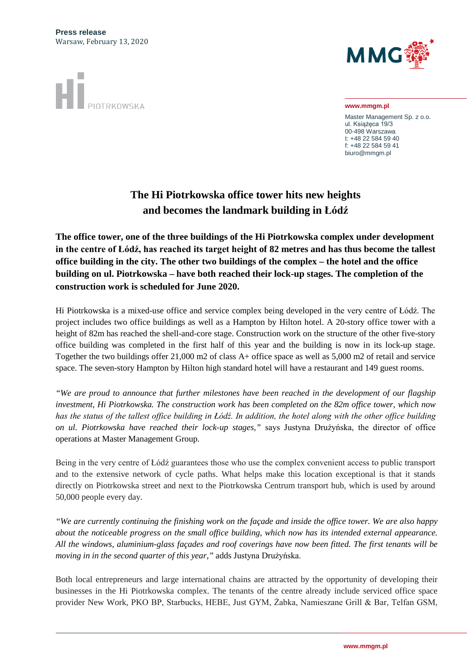

**www.mmgm.pl**

Master Management Sp. z o.o. ul. Książęca 19/3 00-498 Warszawa t: +48 22 584 59 40 f: +48 22 584 59 41 biuro@mmgm.pl

## **The Hi Piotrkowska office tower hits new heights and becomes the landmark building in Łódź**

**The office tower, one of the three buildings of the Hi Piotrkowska complex under development in the centre of Łódź, has reached its target height of 82 metres and has thus become the tallest office building in the city. The other two buildings of the complex – the hotel and the office building on ul. Piotrkowska – have both reached their lock-up stages. The completion of the construction work is scheduled for June 2020.**

Hi Piotrkowska is a mixed-use office and service complex being developed in the very centre of Łódź. The project includes two office buildings as well as a Hampton by Hilton hotel. A 20-story office tower with a height of 82m has reached the shell-and-core stage. Construction work on the structure of the other five-story office building was completed in the first half of this year and the building is now in its lock-up stage. Together the two buildings offer 21,000 m2 of class A+ office space as well as 5,000 m2 of retail and service space. The seven-story Hampton by Hilton high standard hotel will have a restaurant and 149 guest rooms.

*"We are proud to announce that further milestones have been reached in the development of our flagship investment, Hi Piotrkowska. The construction work has been completed on the 82m office tower, which now has the status of the tallest office building in Łódź. In addition, the hotel along with the other office building on ul. Piotrkowska have reached their lock-up stages,"* says Justyna Drużyńska, the director of office operations at Master Management Group.

Being in the very centre of Łódź guarantees those who use the complex convenient access to public transport and to the extensive network of cycle paths. What helps make this location exceptional is that it stands directly on Piotrkowska street and next to the Piotrkowska Centrum transport hub, which is used by around 50,000 people every day.

*"We are currently continuing the finishing work on the façade and inside the office tower. We are also happy about the noticeable progress on the small office building, which now has its intended external appearance. All the windows, aluminium-glass façades and roof coverings have now been fitted. The first tenants will be moving in in the second quarter of this year,"* adds Justyna Drużyńska.

Both local entrepreneurs and large international chains are attracted by the opportunity of developing their businesses in the Hi Piotrkowska complex. The tenants of the centre already include serviced office space provider New Work, PKO BP, Starbucks, HEBE, Just GYM, Żabka, Namieszane Grill & Bar, Telfan GSM,